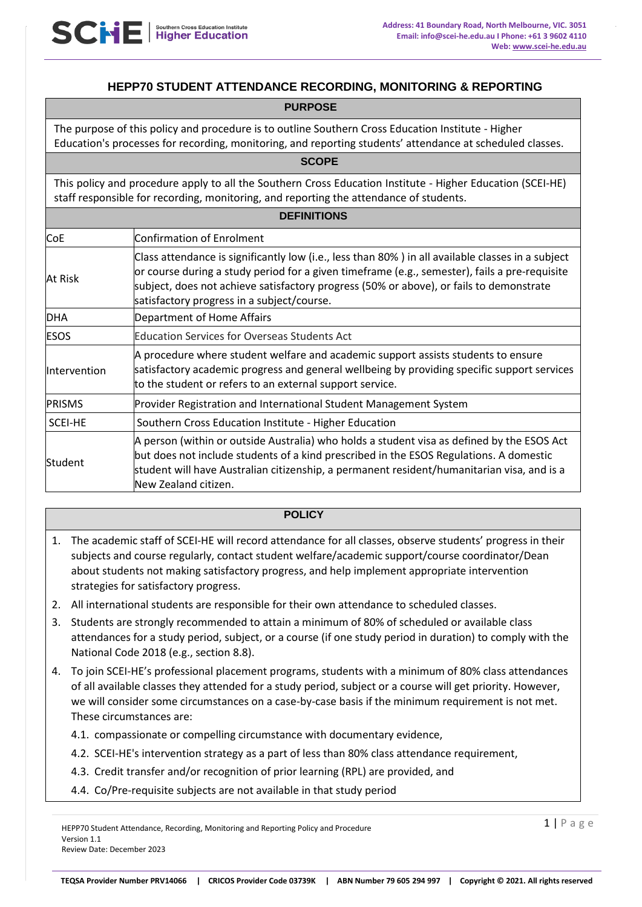# **HEPP70 STUDENT ATTENDANCE RECORDING, MONITORING & REPORTING**

The purpose of this policy and procedure is to outline Southern Cross Education Institute - Higher Education's processes for recording, monitoring, and reporting students' attendance at scheduled classes.

This policy and procedure apply to all the Southern Cross Education Institute - Higher Education (SCEI-HE) staff responsible for recording, monitoring, and reporting the attendance of students.

**SCOPE** 

| <b>DEFINITIONS</b> |                                                                                                                                                                                                                                                                                                                                             |  |
|--------------------|---------------------------------------------------------------------------------------------------------------------------------------------------------------------------------------------------------------------------------------------------------------------------------------------------------------------------------------------|--|
| <b>CoE</b>         | Confirmation of Enrolment                                                                                                                                                                                                                                                                                                                   |  |
| At Risk            | Class attendance is significantly low (i.e., less than 80%) in all available classes in a subject<br>or course during a study period for a given timeframe (e.g., semester), fails a pre-requisite<br>subject, does not achieve satisfactory progress (50% or above), or fails to demonstrate<br>satisfactory progress in a subject/course. |  |
| <b>DHA</b>         | Department of Home Affairs                                                                                                                                                                                                                                                                                                                  |  |
| <b>ESOS</b>        | <b>Education Services for Overseas Students Act</b>                                                                                                                                                                                                                                                                                         |  |
| Intervention       | A procedure where student welfare and academic support assists students to ensure<br>satisfactory academic progress and general wellbeing by providing specific support services<br>to the student or refers to an external support service.                                                                                                |  |
| <b>PRISMS</b>      | Provider Registration and International Student Management System                                                                                                                                                                                                                                                                           |  |
| <b>SCEI-HE</b>     | Southern Cross Education Institute - Higher Education                                                                                                                                                                                                                                                                                       |  |
| Student            | A person (within or outside Australia) who holds a student visa as defined by the ESOS Act<br>but does not include students of a kind prescribed in the ESOS Regulations. A domestic<br>student will have Australian citizenship, a permanent resident/humanitarian visa, and is a<br>New Zealand citizen.                                  |  |

#### **POLICY**

- 1. The academic staff of SCEI-HE will record attendance for all classes, observe students' progress in their subjects and course regularly, contact student welfare/academic support/course coordinator/Dean about students not making satisfactory progress, and help implement appropriate intervention strategies for satisfactory progress.
- 2. All international students are responsible for their own attendance to scheduled classes.
- 3. Students are strongly recommended to attain a minimum of 80% of scheduled or available class attendances for a study period, subject, or a course (if one study period in duration) to comply with the National Code 2018 (e.g., section 8.8).
- 4. To join SCEI-HE's professional placement programs, students with a minimum of 80% class attendances of all available classes they attended for a study period, subject or a course will get priority. However, we will consider some circumstances on a case-by-case basis if the minimum requirement is not met. These circumstances are:
	- 4.1. compassionate or compelling circumstance with documentary evidence,
	- 4.2. SCEI-HE's intervention strategy as a part of less than 80% class attendance requirement,
	- 4.3. Credit transfer and/or recognition of prior learning (RPL) are provided, and
	- 4.4. Co/Pre-requisite subjects are not available in that study period

HEPP70 Student Attendance, Recording, Monitoring and Reporting Policy and Procedure Version 1.1 Review Date: December 2023

 $1 | P \text{ a g e}$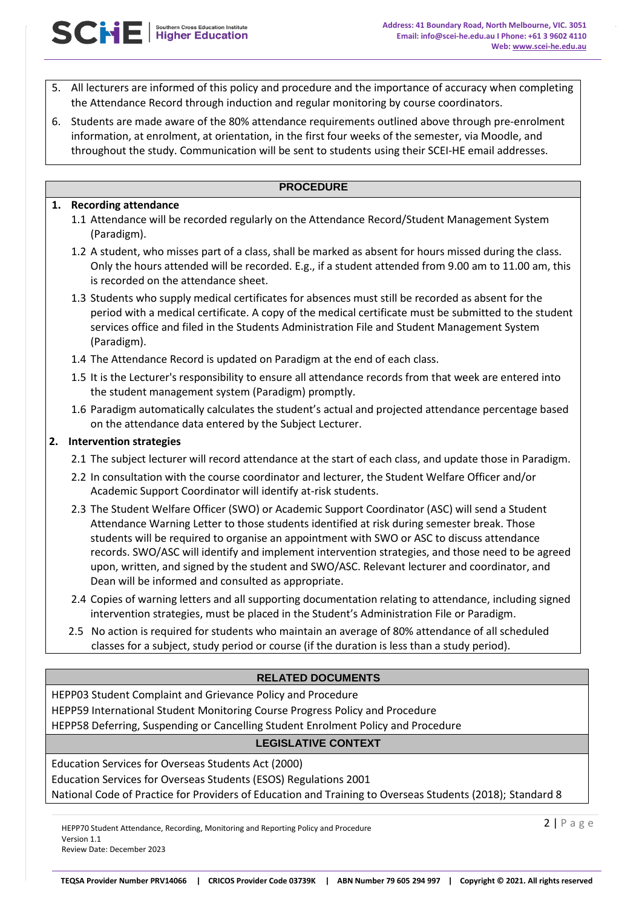- 5. All lecturers are informed of this policy and procedure and the importance of accuracy when completing the Attendance Record through induction and regular monitoring by course coordinators.
- 6. Students are made aware of the 80% attendance requirements outlined above through pre-enrolment information, at enrolment, at orientation, in the first four weeks of the semester, via Moodle, and throughout the study. Communication will be sent to students using their SCEI-HE email addresses.

## **PROCEDURE**

## **1. Recording attendance**

- 1.1 Attendance will be recorded regularly on the Attendance Record/Student Management System (Paradigm).
- 1.2 A student, who misses part of a class, shall be marked as absent for hours missed during the class. Only the hours attended will be recorded. E.g., if a student attended from 9.00 am to 11.00 am, this is recorded on the attendance sheet.
- 1.3 Students who supply medical certificates for absences must still be recorded as absent for the period with a medical certificate. A copy of the medical certificate must be submitted to the student services office and filed in the Students Administration File and Student Management System (Paradigm).
- 1.4 The Attendance Record is updated on Paradigm at the end of each class.
- 1.5 It is the Lecturer's responsibility to ensure all attendance records from that week are entered into the student management system (Paradigm) promptly.
- 1.6 Paradigm automatically calculates the student's actual and projected attendance percentage based on the attendance data entered by the Subject Lecturer.

## **2. Intervention strategies**

- 2.1 The subject lecturer will record attendance at the start of each class, and update those in Paradigm.
- 2.2 In consultation with the course coordinator and lecturer, the Student Welfare Officer and/or Academic Support Coordinator will identify at-risk students.
- 2.3 The Student Welfare Officer (SWO) or Academic Support Coordinator (ASC) will send a Student Attendance Warning Letter to those students identified at risk during semester break. Those students will be required to organise an appointment with SWO or ASC to discuss attendance records. SWO/ASC will identify and implement intervention strategies, and those need to be agreed upon, written, and signed by the student and SWO/ASC. Relevant lecturer and coordinator, and Dean will be informed and consulted as appropriate.
- 2.4 Copies of warning letters and all supporting documentation relating to attendance, including signed intervention strategies, must be placed in the Student's Administration File or Paradigm.
- 2.5 No action is required for students who maintain an average of 80% attendance of all scheduled classes for a subject, study period or course (if the duration is less than a study period).

## **RELATED DOCUMENTS**

HEPP03 Student Complaint and Grievance Policy and Procedure

HEPP59 International Student Monitoring Course Progress Policy and Procedure

HEPP58 Deferring, Suspending or Cancelling Student Enrolment Policy and Procedure

## **LEGISLATIVE CONTEXT**

Education Services for Overseas Students Act (2000) Education Services for Overseas Students (ESOS) Regulations 2001 National Code of Practice for Providers of Education and Training to Overseas Students (2018); Standard 8

HEPP70 Student Attendance, Recording, Monitoring and Reporting Policy and Procedure Version 1.1 Review Date: December 2023

2 | P a g e